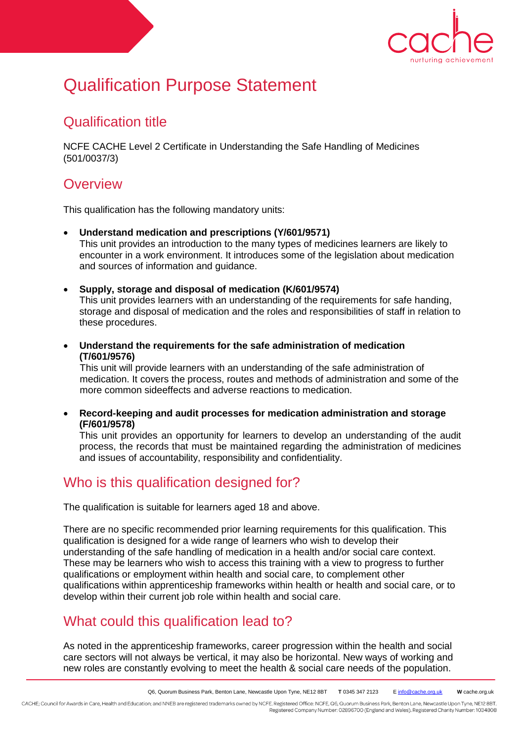

# Qualification Purpose Statement

### Qualification title

NCFE CACHE Level 2 Certificate in Understanding the Safe Handling of Medicines (501/0037/3)

## **Overview**

This qualification has the following mandatory units:

- **Understand medication and prescriptions (Y/601/9571)** This unit provides an introduction to the many types of medicines learners are likely to encounter in a work environment. It introduces some of the legislation about medication and sources of information and guidance.
- **Supply, storage and disposal of medication (K/601/9574)** This unit provides learners with an understanding of the requirements for safe handing, storage and disposal of medication and the roles and responsibilities of staff in relation to these procedures.
- **Understand the requirements for the safe administration of medication (T/601/9576)**

This unit will provide learners with an understanding of the safe administration of medication. It covers the process, routes and methods of administration and some of the more common sideeffects and adverse reactions to medication.

 **Record-keeping and audit processes for medication administration and storage (F/601/9578)** 

This unit provides an opportunity for learners to develop an understanding of the audit process, the records that must be maintained regarding the administration of medicines and issues of accountability, responsibility and confidentiality.

## Who is this qualification designed for?

The qualification is suitable for learners aged 18 and above.

There are no specific recommended prior learning requirements for this qualification. This qualification is designed for a wide range of learners who wish to develop their understanding of the safe handling of medication in a health and/or social care context. These may be learners who wish to access this training with a view to progress to further qualifications or employment within health and social care, to complement other qualifications within apprenticeship frameworks within health or health and social care, or to develop within their current job role within health and social care.

## What could this qualification lead to?

As noted in the apprenticeship frameworks, career progression within the health and social care sectors will not always be vertical, it may also be horizontal. New ways of working and new roles are constantly evolving to meet the health & social care needs of the population.

CACHE; Council for Awards in Care, Health and Education; and NNEB are registered trademarks owned by NCFE. Registered Office: NCFE, Q6, Quorum Business Park, Benton Lane, Newcastle Upon Tyne, NE12 8BT. Registered Company Number: 02896700 (England and Wales). Registered Charity Number: 1034808